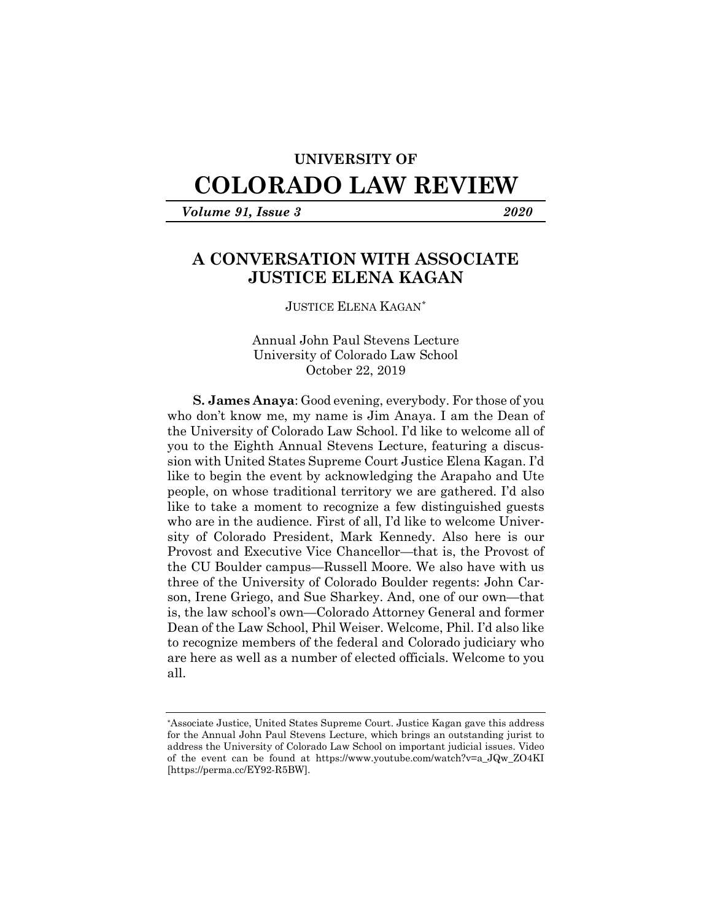## **UNIVERSITY OF**

# **COLORADO LAW REVIEW**

*Volume 91, Issue 3 2020*

# **A CONVERSATION WITH ASSOCIATE JUSTICE ELENA KAGAN**

### JUSTICE ELENA KAGAN[\\*](#page-0-0)

Annual John Paul Stevens Lecture University of Colorado Law School October 22, 2019

**S. James Anaya**: Good evening, everybody. For those of you who don't know me, my name is Jim Anaya. I am the Dean of the University of Colorado Law School. I'd like to welcome all of you to the Eighth Annual Stevens Lecture, featuring a discussion with United States Supreme Court Justice Elena Kagan. I'd like to begin the event by acknowledging the Arapaho and Ute people, on whose traditional territory we are gathered. I'd also like to take a moment to recognize a few distinguished guests who are in the audience. First of all, I'd like to welcome University of Colorado President, Mark Kennedy. Also here is our Provost and Executive Vice Chancellor—that is, the Provost of the CU Boulder campus—Russell Moore. We also have with us three of the University of Colorado Boulder regents: John Carson, Irene Griego, and Sue Sharkey. And, one of our own—that is, the law school's own—Colorado Attorney General and former Dean of the Law School, Phil Weiser. Welcome, Phil. I'd also like to recognize members of the federal and Colorado judiciary who are here as well as a number of elected officials. Welcome to you all.

<span id="page-0-0"></span><sup>\*</sup>Associate Justice, United States Supreme Court. Justice Kagan gave this address for the Annual John Paul Stevens Lecture, which brings an outstanding jurist to address the University of Colorado Law School on important judicial issues. Video of the event can be found at https://www.youtube.com/watch?v=a\_JQw\_ZO4KI [https://perma.cc/EY92-R5BW].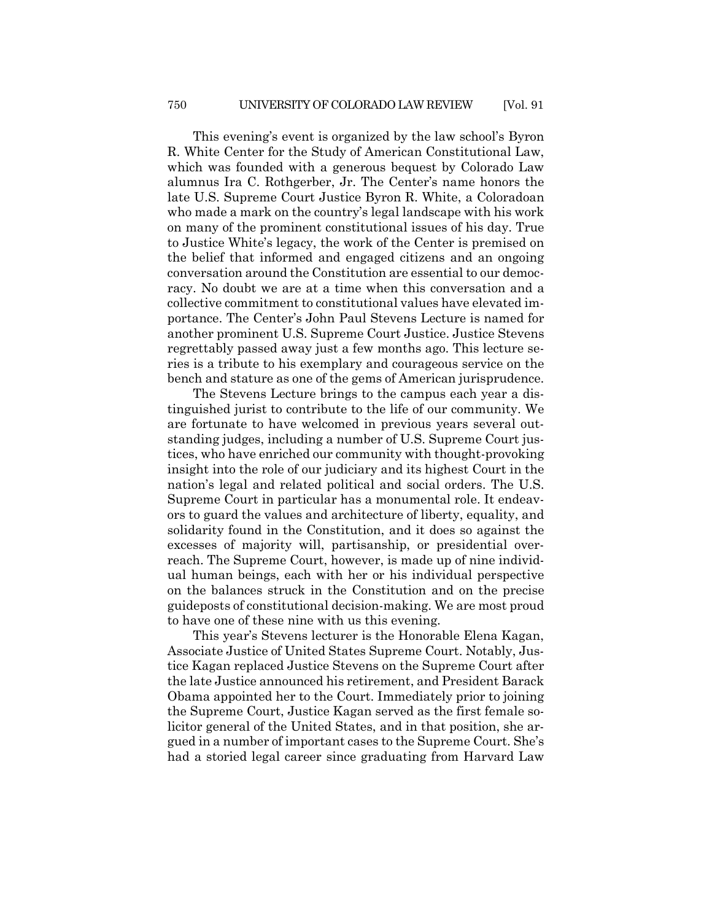This evening's event is organized by the law school's Byron R. White Center for the Study of American Constitutional Law, which was founded with a generous bequest by Colorado Law alumnus Ira C. Rothgerber, Jr. The Center's name honors the late U.S. Supreme Court Justice Byron R. White, a Coloradoan who made a mark on the country's legal landscape with his work on many of the prominent constitutional issues of his day. True to Justice White's legacy, the work of the Center is premised on the belief that informed and engaged citizens and an ongoing conversation around the Constitution are essential to our democracy. No doubt we are at a time when this conversation and a collective commitment to constitutional values have elevated importance. The Center's John Paul Stevens Lecture is named for another prominent U.S. Supreme Court Justice. Justice Stevens regrettably passed away just a few months ago. This lecture series is a tribute to his exemplary and courageous service on the bench and stature as one of the gems of American jurisprudence.

The Stevens Lecture brings to the campus each year a distinguished jurist to contribute to the life of our community. We are fortunate to have welcomed in previous years several outstanding judges, including a number of U.S. Supreme Court justices, who have enriched our community with thought-provoking insight into the role of our judiciary and its highest Court in the nation's legal and related political and social orders. The U.S. Supreme Court in particular has a monumental role. It endeavors to guard the values and architecture of liberty, equality, and solidarity found in the Constitution, and it does so against the excesses of majority will, partisanship, or presidential overreach. The Supreme Court, however, is made up of nine individual human beings, each with her or his individual perspective on the balances struck in the Constitution and on the precise guideposts of constitutional decision-making. We are most proud to have one of these nine with us this evening.

This year's Stevens lecturer is the Honorable Elena Kagan, Associate Justice of United States Supreme Court. Notably, Justice Kagan replaced Justice Stevens on the Supreme Court after the late Justice announced his retirement, and President Barack Obama appointed her to the Court. Immediately prior to joining the Supreme Court, Justice Kagan served as the first female solicitor general of the United States, and in that position, she argued in a number of important cases to the Supreme Court. She's had a storied legal career since graduating from Harvard Law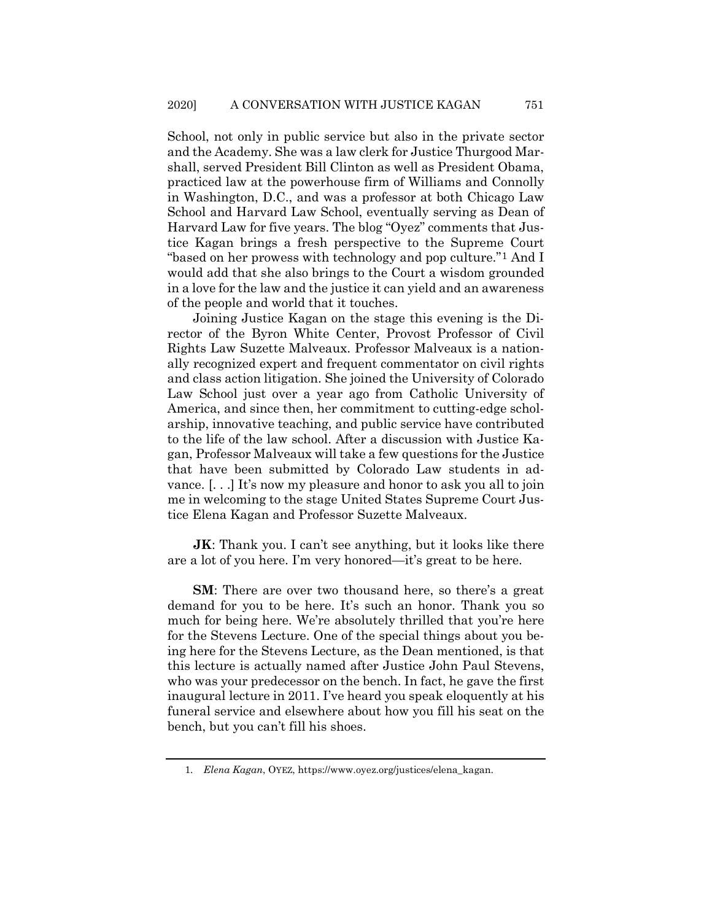School, not only in public service but also in the private sector and the Academy. She was a law clerk for Justice Thurgood Marshall, served President Bill Clinton as well as President Obama, practiced law at the powerhouse firm of Williams and Connolly in Washington, D.C., and was a professor at both Chicago Law School and Harvard Law School, eventually serving as Dean of Harvard Law for five years. The blog "Oyez" comments that Justice Kagan brings a fresh perspective to the Supreme Court "based on her prowess with technology and pop culture."[1](#page-2-0) And I would add that she also brings to the Court a wisdom grounded in a love for the law and the justice it can yield and an awareness of the people and world that it touches.

Joining Justice Kagan on the stage this evening is the Director of the Byron White Center, Provost Professor of Civil Rights Law Suzette Malveaux. Professor Malveaux is a nationally recognized expert and frequent commentator on civil rights and class action litigation. She joined the University of Colorado Law School just over a year ago from Catholic University of America, and since then, her commitment to cutting-edge scholarship, innovative teaching, and public service have contributed to the life of the law school. After a discussion with Justice Kagan, Professor Malveaux will take a few questions for the Justice that have been submitted by Colorado Law students in advance. [. . .] It's now my pleasure and honor to ask you all to join me in welcoming to the stage United States Supreme Court Justice Elena Kagan and Professor Suzette Malveaux.

**JK**: Thank you. I can't see anything, but it looks like there are a lot of you here. I'm very honored—it's great to be here.

**SM**: There are over two thousand here, so there's a great demand for you to be here. It's such an honor. Thank you so much for being here. We're absolutely thrilled that you're here for the Stevens Lecture. One of the special things about you being here for the Stevens Lecture, as the Dean mentioned, is that this lecture is actually named after Justice John Paul Stevens, who was your predecessor on the bench. In fact, he gave the first inaugural lecture in 2011. I've heard you speak eloquently at his funeral service and elsewhere about how you fill his seat on the bench, but you can't fill his shoes.

<span id="page-2-0"></span><sup>1</sup>*. Elena Kagan*, OYEZ, https://www.oyez.org/justices/elena\_kagan.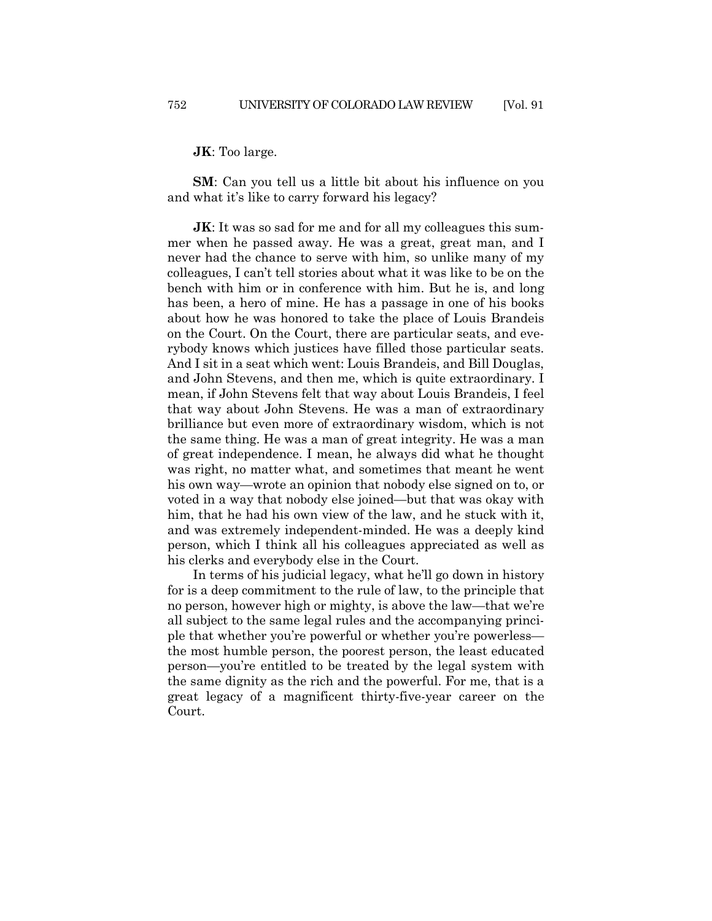**JK**: Too large.

**SM**: Can you tell us a little bit about his influence on you and what it's like to carry forward his legacy?

**JK**: It was so sad for me and for all my colleagues this summer when he passed away. He was a great, great man, and I never had the chance to serve with him, so unlike many of my colleagues, I can't tell stories about what it was like to be on the bench with him or in conference with him. But he is, and long has been, a hero of mine. He has a passage in one of his books about how he was honored to take the place of Louis Brandeis on the Court. On the Court, there are particular seats, and everybody knows which justices have filled those particular seats. And I sit in a seat which went: Louis Brandeis, and Bill Douglas, and John Stevens, and then me, which is quite extraordinary. I mean, if John Stevens felt that way about Louis Brandeis, I feel that way about John Stevens. He was a man of extraordinary brilliance but even more of extraordinary wisdom, which is not the same thing. He was a man of great integrity. He was a man of great independence. I mean, he always did what he thought was right, no matter what, and sometimes that meant he went his own way—wrote an opinion that nobody else signed on to, or voted in a way that nobody else joined—but that was okay with him, that he had his own view of the law, and he stuck with it, and was extremely independent-minded. He was a deeply kind person, which I think all his colleagues appreciated as well as his clerks and everybody else in the Court.

In terms of his judicial legacy, what he'll go down in history for is a deep commitment to the rule of law, to the principle that no person, however high or mighty, is above the law—that we're all subject to the same legal rules and the accompanying principle that whether you're powerful or whether you're powerless the most humble person, the poorest person, the least educated person—you're entitled to be treated by the legal system with the same dignity as the rich and the powerful. For me, that is a great legacy of a magnificent thirty-five-year career on the Court.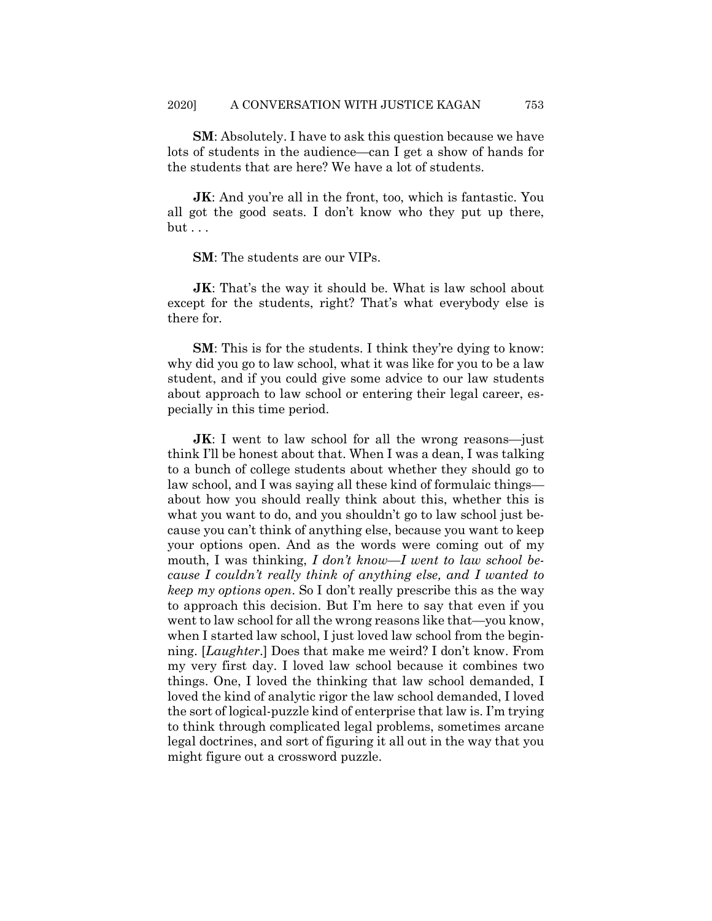**SM**: Absolutely. I have to ask this question because we have lots of students in the audience—can I get a show of hands for the students that are here? We have a lot of students.

**JK:** And you're all in the front, too, which is fantastic. You all got the good seats. I don't know who they put up there, but . . .

**SM**: The students are our VIPs.

**JK**: That's the way it should be. What is law school about except for the students, right? That's what everybody else is there for.

**SM**: This is for the students. I think they're dying to know: why did you go to law school, what it was like for you to be a law student, and if you could give some advice to our law students about approach to law school or entering their legal career, especially in this time period.

**JK**: I went to law school for all the wrong reasons—just think I'll be honest about that. When I was a dean, I was talking to a bunch of college students about whether they should go to law school, and I was saying all these kind of formulaic things about how you should really think about this, whether this is what you want to do, and you shouldn't go to law school just because you can't think of anything else, because you want to keep your options open. And as the words were coming out of my mouth, I was thinking, *I don't know*—*I went to law school because I couldn't really think of anything else, and I wanted to keep my options open*. So I don't really prescribe this as the way to approach this decision. But I'm here to say that even if you went to law school for all the wrong reasons like that—you know, when I started law school, I just loved law school from the beginning. [*Laughter*.] Does that make me weird? I don't know. From my very first day. I loved law school because it combines two things. One, I loved the thinking that law school demanded, I loved the kind of analytic rigor the law school demanded, I loved the sort of logical-puzzle kind of enterprise that law is. I'm trying to think through complicated legal problems, sometimes arcane legal doctrines, and sort of figuring it all out in the way that you might figure out a crossword puzzle.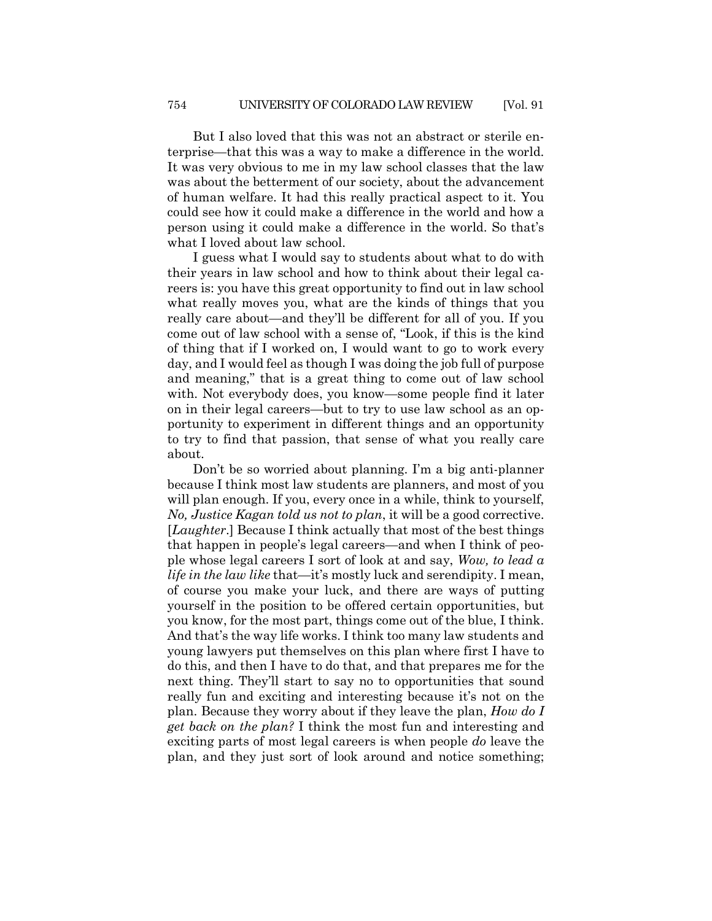But I also loved that this was not an abstract or sterile enterprise—that this was a way to make a difference in the world. It was very obvious to me in my law school classes that the law was about the betterment of our society, about the advancement of human welfare. It had this really practical aspect to it. You could see how it could make a difference in the world and how a person using it could make a difference in the world. So that's what I loved about law school.

I guess what I would say to students about what to do with their years in law school and how to think about their legal careers is: you have this great opportunity to find out in law school what really moves you, what are the kinds of things that you really care about—and they'll be different for all of you. If you come out of law school with a sense of, "Look, if this is the kind of thing that if I worked on, I would want to go to work every day, and I would feel as though I was doing the job full of purpose and meaning," that is a great thing to come out of law school with. Not everybody does, you know—some people find it later on in their legal careers—but to try to use law school as an opportunity to experiment in different things and an opportunity to try to find that passion, that sense of what you really care about.

Don't be so worried about planning. I'm a big anti-planner because I think most law students are planners, and most of you will plan enough. If you, every once in a while, think to yourself, *No, Justice Kagan told us not to plan*, it will be a good corrective. [*Laughter*.] Because I think actually that most of the best things that happen in people's legal careers—and when I think of people whose legal careers I sort of look at and say, *Wow, to lead a life in the law like* that—it's mostly luck and serendipity. I mean, of course you make your luck, and there are ways of putting yourself in the position to be offered certain opportunities, but you know, for the most part, things come out of the blue, I think. And that's the way life works. I think too many law students and young lawyers put themselves on this plan where first I have to do this, and then I have to do that, and that prepares me for the next thing. They'll start to say no to opportunities that sound really fun and exciting and interesting because it's not on the plan. Because they worry about if they leave the plan, *How do I get back on the plan?* I think the most fun and interesting and exciting parts of most legal careers is when people *do* leave the plan, and they just sort of look around and notice something;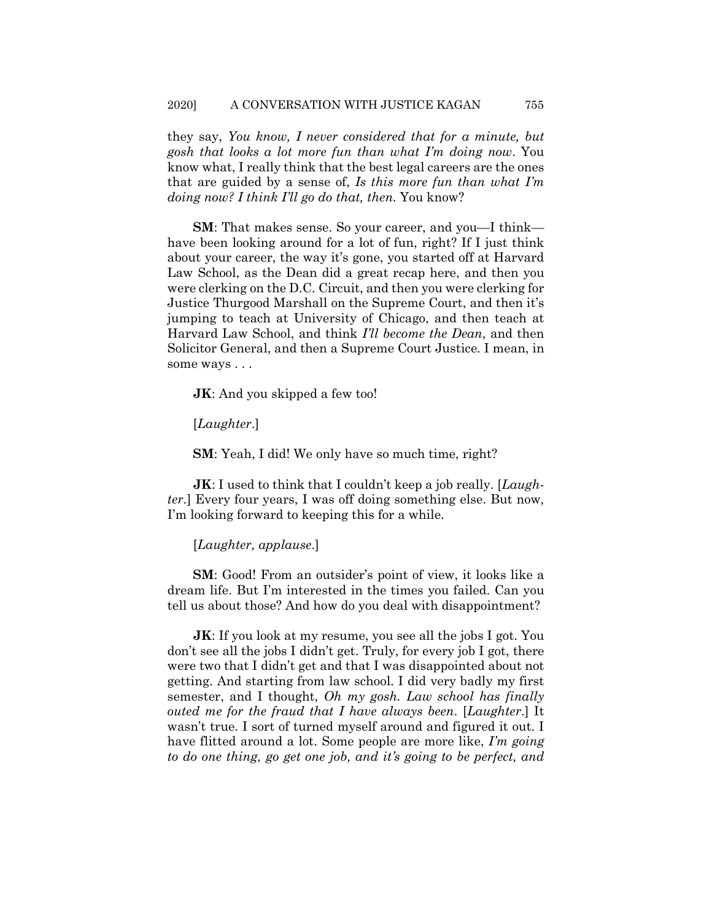they say, *You know, I never considered that for a minute, but gosh that looks a lot more fun than what I'm doing now*. You know what, I really think that the best legal careers are the ones that are guided by a sense of, *Is this more fun than what I'm doing now? I think I'll go do that, then*. You know?

**SM**: That makes sense. So your career, and you—I think have been looking around for a lot of fun, right? If I just think about your career, the way it's gone, you started off at Harvard Law School, as the Dean did a great recap here, and then you were clerking on the D.C. Circuit, and then you were clerking for Justice Thurgood Marshall on the Supreme Court, and then it's jumping to teach at University of Chicago, and then teach at Harvard Law School, and think *I'll become the Dean*, and then Solicitor General, and then a Supreme Court Justice. I mean, in some ways . . .

**JK**: And you skipped a few too!

[*Laughter*.]

**SM**: Yeah, I did! We only have so much time, right?

**JK**: I used to think that I couldn't keep a job really. [*Laughter*.] Every four years, I was off doing something else. But now, I'm looking forward to keeping this for a while.

[*Laughter, applause*.]

**SM**: Good! From an outsider's point of view, it looks like a dream life. But I'm interested in the times you failed. Can you tell us about those? And how do you deal with disappointment?

**JK**: If you look at my resume, you see all the jobs I got. You don't see all the jobs I didn't get. Truly, for every job I got, there were two that I didn't get and that I was disappointed about not getting. And starting from law school. I did very badly my first semester, and I thought, *Oh my gosh. Law school has finally outed me for the fraud that I have always been*. [*Laughter*.] It wasn't true. I sort of turned myself around and figured it out. I have flitted around a lot. Some people are more like, *I'm going to do one thing, go get one job, and it's going to be perfect, and*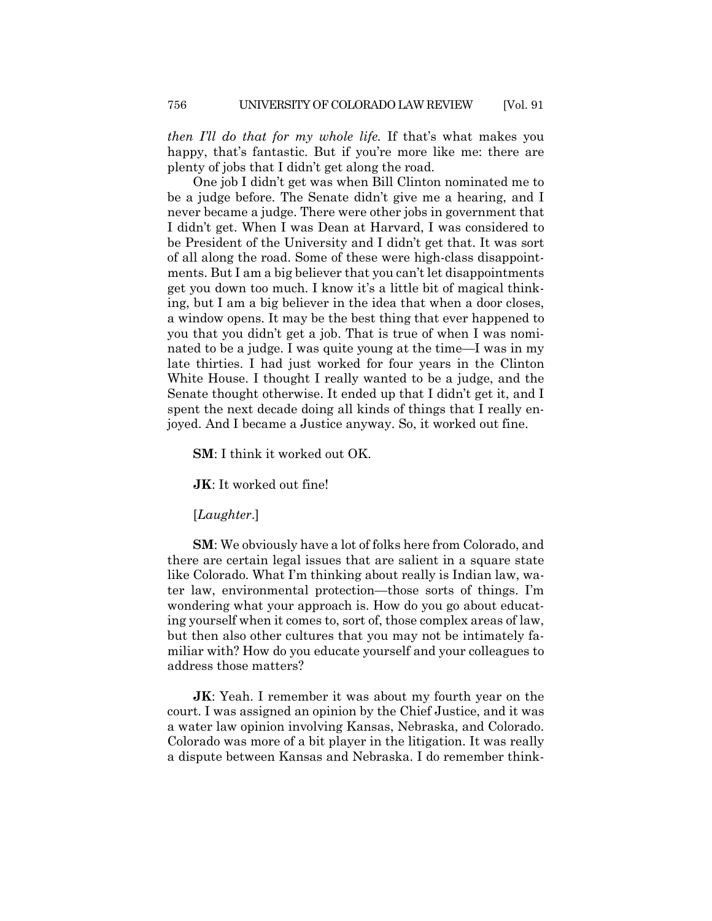*then I'll do that for my whole life.* If that's what makes you happy, that's fantastic. But if you're more like me: there are plenty of jobs that I didn't get along the road.

One job I didn't get was when Bill Clinton nominated me to be a judge before. The Senate didn't give me a hearing, and I never became a judge. There were other jobs in government that I didn't get. When I was Dean at Harvard, I was considered to be President of the University and I didn't get that. It was sort of all along the road. Some of these were high-class disappointments. But I am a big believer that you can't let disappointments get you down too much. I know it's a little bit of magical thinking, but I am a big believer in the idea that when a door closes, a window opens. It may be the best thing that ever happened to you that you didn't get a job. That is true of when I was nominated to be a judge. I was quite young at the time—I was in my late thirties. I had just worked for four years in the Clinton White House. I thought I really wanted to be a judge, and the Senate thought otherwise. It ended up that I didn't get it, and I spent the next decade doing all kinds of things that I really enjoyed. And I became a Justice anyway. So, it worked out fine.

**SM**: I think it worked out OK.

**JK**: It worked out fine!

[*Laughter*.]

**SM**: We obviously have a lot of folks here from Colorado, and there are certain legal issues that are salient in a square state like Colorado. What I'm thinking about really is Indian law, water law, environmental protection—those sorts of things. I'm wondering what your approach is. How do you go about educating yourself when it comes to, sort of, those complex areas of law, but then also other cultures that you may not be intimately familiar with? How do you educate yourself and your colleagues to address those matters?

**JK**: Yeah. I remember it was about my fourth year on the court. I was assigned an opinion by the Chief Justice, and it was a water law opinion involving Kansas, Nebraska, and Colorado. Colorado was more of a bit player in the litigation. It was really a dispute between Kansas and Nebraska. I do remember think-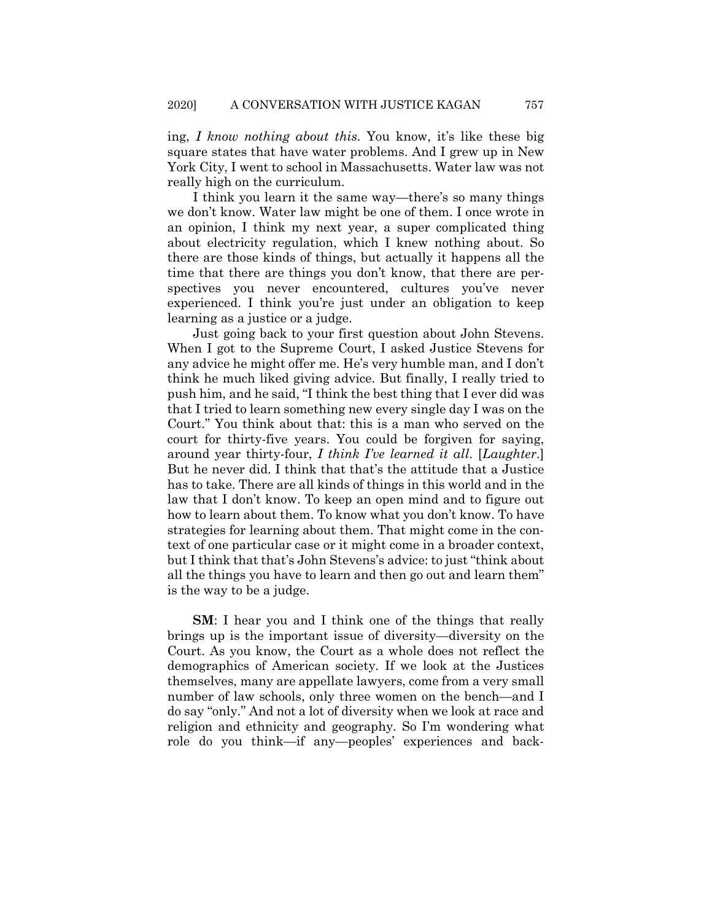ing, *I know nothing about this*. You know, it's like these big square states that have water problems. And I grew up in New York City, I went to school in Massachusetts. Water law was not really high on the curriculum.

I think you learn it the same way—there's so many things we don't know. Water law might be one of them. I once wrote in an opinion, I think my next year, a super complicated thing about electricity regulation, which I knew nothing about. So there are those kinds of things, but actually it happens all the time that there are things you don't know, that there are perspectives you never encountered, cultures you've never experienced. I think you're just under an obligation to keep learning as a justice or a judge.

Just going back to your first question about John Stevens. When I got to the Supreme Court, I asked Justice Stevens for any advice he might offer me. He's very humble man, and I don't think he much liked giving advice. But finally, I really tried to push him, and he said, "I think the best thing that I ever did was that I tried to learn something new every single day I was on the Court." You think about that: this is a man who served on the court for thirty-five years. You could be forgiven for saying, around year thirty-four, *I think I've learned it all*. [*Laughter*.] But he never did. I think that that's the attitude that a Justice has to take. There are all kinds of things in this world and in the law that I don't know. To keep an open mind and to figure out how to learn about them. To know what you don't know. To have strategies for learning about them. That might come in the context of one particular case or it might come in a broader context, but I think that that's John Stevens's advice: to just "think about all the things you have to learn and then go out and learn them" is the way to be a judge.

**SM**: I hear you and I think one of the things that really brings up is the important issue of diversity—diversity on the Court. As you know, the Court as a whole does not reflect the demographics of American society. If we look at the Justices themselves, many are appellate lawyers, come from a very small number of law schools, only three women on the bench—and I do say "only." And not a lot of diversity when we look at race and religion and ethnicity and geography. So I'm wondering what role do you think—if any—peoples' experiences and back-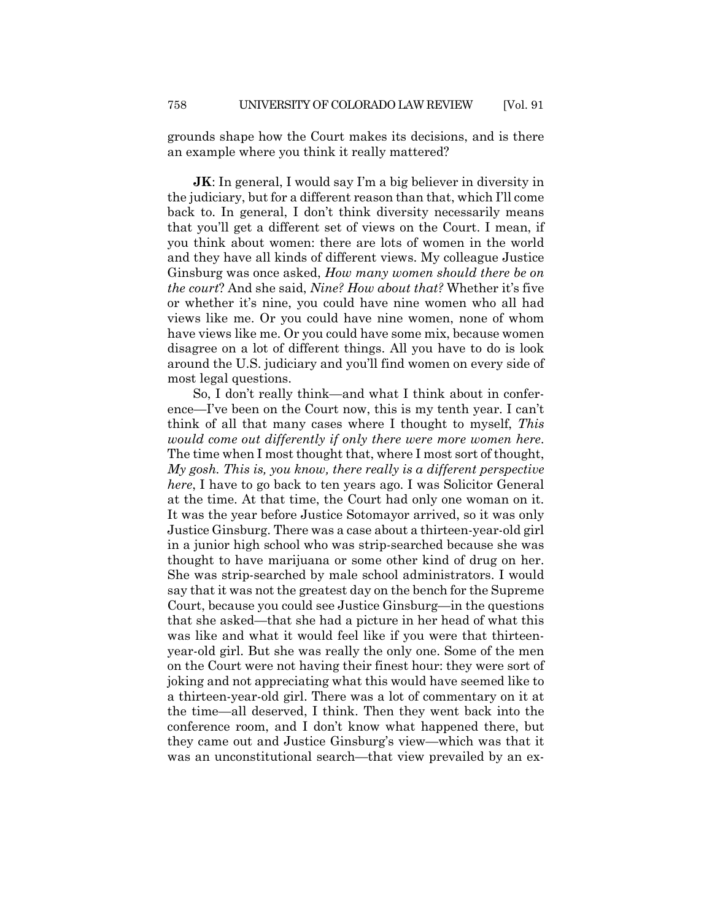grounds shape how the Court makes its decisions, and is there an example where you think it really mattered?

**JK**: In general, I would say I'm a big believer in diversity in the judiciary, but for a different reason than that, which I'll come back to. In general, I don't think diversity necessarily means that you'll get a different set of views on the Court. I mean, if you think about women: there are lots of women in the world and they have all kinds of different views. My colleague Justice Ginsburg was once asked, *How many women should there be on the court*? And she said, *Nine? How about that?* Whether it's five or whether it's nine, you could have nine women who all had views like me. Or you could have nine women, none of whom have views like me. Or you could have some mix, because women disagree on a lot of different things. All you have to do is look around the U.S. judiciary and you'll find women on every side of most legal questions.

So, I don't really think—and what I think about in conference—I've been on the Court now, this is my tenth year. I can't think of all that many cases where I thought to myself, *This would come out differently if only there were more women here*. The time when I most thought that, where I most sort of thought, *My gosh. This is, you know, there really is a different perspective here*, I have to go back to ten years ago. I was Solicitor General at the time. At that time, the Court had only one woman on it. It was the year before Justice Sotomayor arrived, so it was only Justice Ginsburg. There was a case about a thirteen-year-old girl in a junior high school who was strip-searched because she was thought to have marijuana or some other kind of drug on her. She was strip-searched by male school administrators. I would say that it was not the greatest day on the bench for the Supreme Court, because you could see Justice Ginsburg—in the questions that she asked—that she had a picture in her head of what this was like and what it would feel like if you were that thirteenyear-old girl. But she was really the only one. Some of the men on the Court were not having their finest hour: they were sort of joking and not appreciating what this would have seemed like to a thirteen-year-old girl. There was a lot of commentary on it at the time—all deserved, I think. Then they went back into the conference room, and I don't know what happened there, but they came out and Justice Ginsburg's view—which was that it was an unconstitutional search—that view prevailed by an ex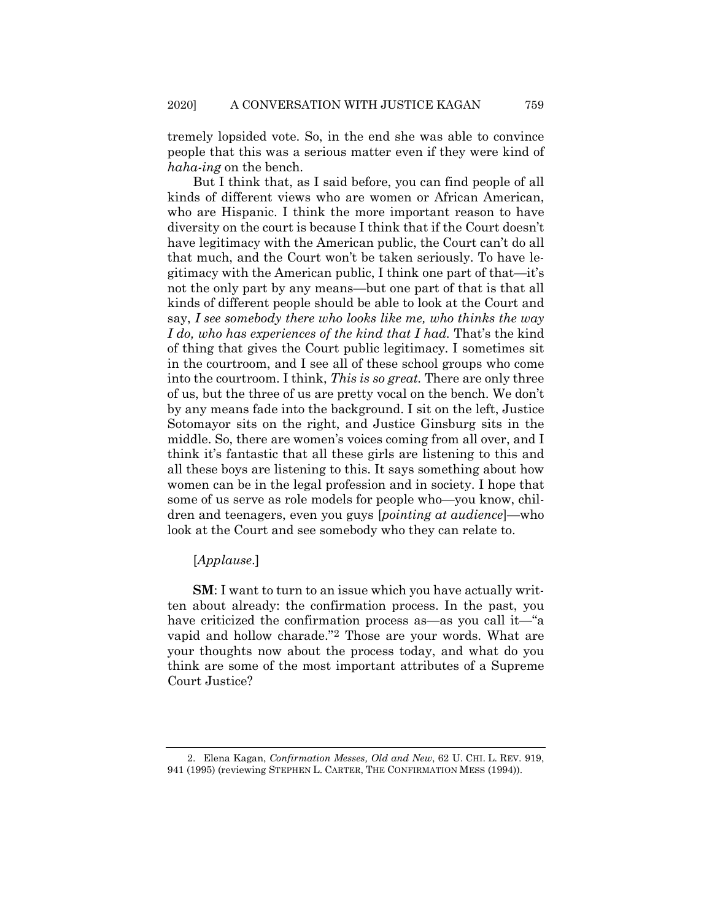tremely lopsided vote. So, in the end she was able to convince people that this was a serious matter even if they were kind of *haha-ing* on the bench.

But I think that, as I said before, you can find people of all kinds of different views who are women or African American, who are Hispanic. I think the more important reason to have diversity on the court is because I think that if the Court doesn't have legitimacy with the American public, the Court can't do all that much, and the Court won't be taken seriously. To have legitimacy with the American public, I think one part of that—it's not the only part by any means—but one part of that is that all kinds of different people should be able to look at the Court and say, *I see somebody there who looks like me, who thinks the way I do, who has experiences of the kind that I had.* That's the kind of thing that gives the Court public legitimacy. I sometimes sit in the courtroom, and I see all of these school groups who come into the courtroom. I think, *This is so great.* There are only three of us, but the three of us are pretty vocal on the bench. We don't by any means fade into the background. I sit on the left, Justice Sotomayor sits on the right, and Justice Ginsburg sits in the middle. So, there are women's voices coming from all over, and I think it's fantastic that all these girls are listening to this and all these boys are listening to this. It says something about how women can be in the legal profession and in society. I hope that some of us serve as role models for people who—you know, children and teenagers, even you guys [*pointing at audience*]—who look at the Court and see somebody who they can relate to.

[*Applause*.]

**SM**: I want to turn to an issue which you have actually written about already: the confirmation process. In the past, you have criticized the confirmation process as—as you call it—"a vapid and hollow charade."[2](#page-10-0) Those are your words. What are your thoughts now about the process today, and what do you think are some of the most important attributes of a Supreme Court Justice?

<span id="page-10-0"></span><sup>2.</sup> Elena Kagan, *Confirmation Messes, Old and New*, 62 U. CHI. L. REV. 919, 941 (1995) (reviewing STEPHEN L. CARTER, THE CONFIRMATION MESS (1994)).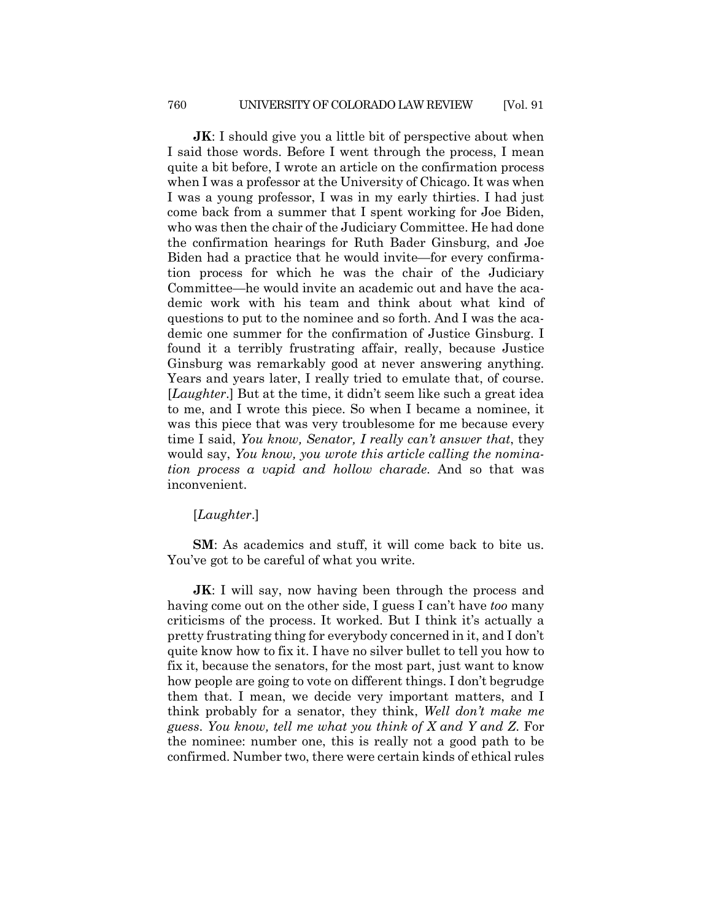**JK**: I should give you a little bit of perspective about when I said those words. Before I went through the process, I mean quite a bit before, I wrote an article on the confirmation process when I was a professor at the University of Chicago. It was when I was a young professor, I was in my early thirties. I had just come back from a summer that I spent working for Joe Biden, who was then the chair of the Judiciary Committee. He had done the confirmation hearings for Ruth Bader Ginsburg, and Joe Biden had a practice that he would invite—for every confirmation process for which he was the chair of the Judiciary Committee—he would invite an academic out and have the academic work with his team and think about what kind of questions to put to the nominee and so forth. And I was the academic one summer for the confirmation of Justice Ginsburg. I found it a terribly frustrating affair, really, because Justice Ginsburg was remarkably good at never answering anything. Years and years later, I really tried to emulate that, of course. [*Laughter*.] But at the time, it didn't seem like such a great idea to me, and I wrote this piece. So when I became a nominee, it was this piece that was very troublesome for me because every time I said, *You know, Senator, I really can't answer that*, they would say, *You know, you wrote this article calling the nomination process a vapid and hollow charade*. And so that was inconvenient.

#### [*Laughter*.]

**SM**: As academics and stuff, it will come back to bite us. You've got to be careful of what you write.

**JK**: I will say, now having been through the process and having come out on the other side, I guess I can't have *too* many criticisms of the process. It worked. But I think it's actually a pretty frustrating thing for everybody concerned in it, and I don't quite know how to fix it. I have no silver bullet to tell you how to fix it, because the senators, for the most part, just want to know how people are going to vote on different things. I don't begrudge them that. I mean, we decide very important matters, and I think probably for a senator, they think, *Well don't make me guess*. *You know, tell me what you think of X and Y and Z*. For the nominee: number one, this is really not a good path to be confirmed. Number two, there were certain kinds of ethical rules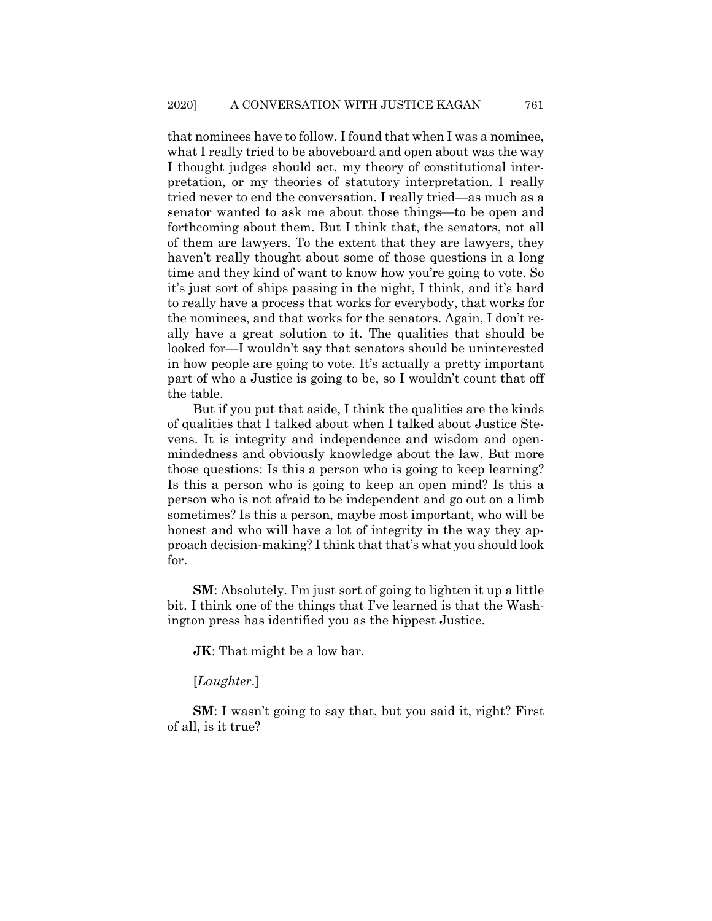that nominees have to follow. I found that when I was a nominee, what I really tried to be aboveboard and open about was the way I thought judges should act, my theory of constitutional interpretation, or my theories of statutory interpretation. I really tried never to end the conversation. I really tried—as much as a senator wanted to ask me about those things—to be open and forthcoming about them. But I think that, the senators, not all of them are lawyers. To the extent that they are lawyers, they haven't really thought about some of those questions in a long time and they kind of want to know how you're going to vote. So it's just sort of ships passing in the night, I think, and it's hard to really have a process that works for everybody, that works for the nominees, and that works for the senators. Again, I don't really have a great solution to it. The qualities that should be looked for—I wouldn't say that senators should be uninterested in how people are going to vote. It's actually a pretty important part of who a Justice is going to be, so I wouldn't count that off the table.

But if you put that aside, I think the qualities are the kinds of qualities that I talked about when I talked about Justice Stevens. It is integrity and independence and wisdom and openmindedness and obviously knowledge about the law. But more those questions: Is this a person who is going to keep learning? Is this a person who is going to keep an open mind? Is this a person who is not afraid to be independent and go out on a limb sometimes? Is this a person, maybe most important, who will be honest and who will have a lot of integrity in the way they approach decision-making? I think that that's what you should look for.

**SM**: Absolutely. I'm just sort of going to lighten it up a little bit. I think one of the things that I've learned is that the Washington press has identified you as the hippest Justice.

**JK**: That might be a low bar.

[*Laughter*.]

**SM**: I wasn't going to say that, but you said it, right? First of all, is it true?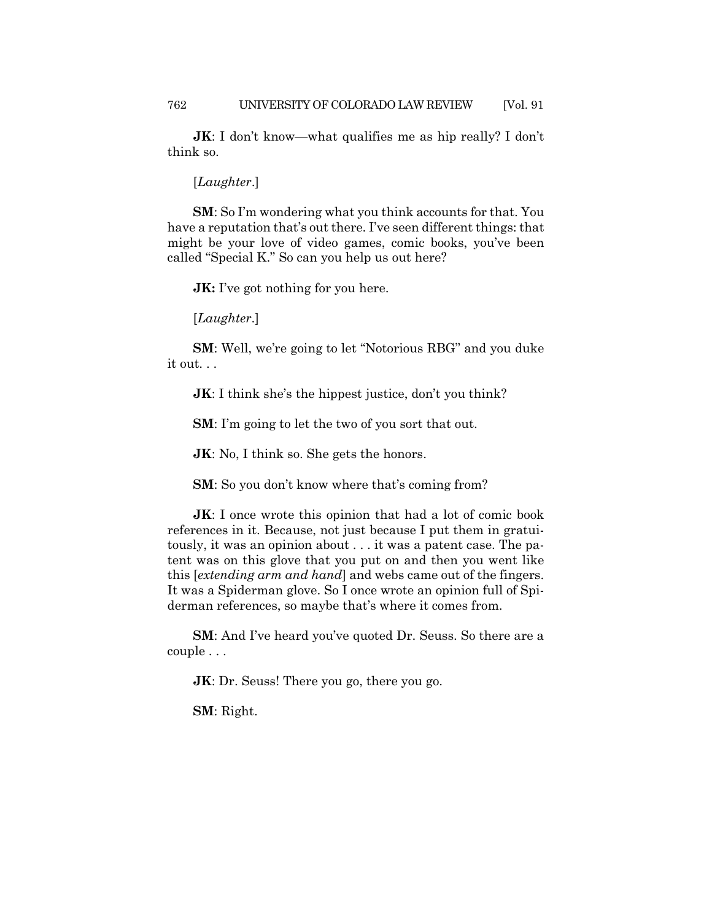**JK**: I don't know—what qualifies me as hip really? I don't think so.

#### [*Laughter*.]

**SM**: So I'm wondering what you think accounts for that. You have a reputation that's out there. I've seen different things: that might be your love of video games, comic books, you've been called "Special K." So can you help us out here?

**JK:** I've got nothing for you here.

[*Laughter*.]

**SM**: Well, we're going to let "Notorious RBG" and you duke it out. . .

**JK**: I think she's the hippest justice, don't you think?

**SM**: I'm going to let the two of you sort that out.

**JK:** No, I think so. She gets the honors.

**SM**: So you don't know where that's coming from?

**JK**: I once wrote this opinion that had a lot of comic book references in it. Because, not just because I put them in gratuitously, it was an opinion about . . . it was a patent case. The patent was on this glove that you put on and then you went like this [*extending arm and hand*] and webs came out of the fingers. It was a Spiderman glove. So I once wrote an opinion full of Spiderman references, so maybe that's where it comes from.

**SM**: And I've heard you've quoted Dr. Seuss. So there are a couple . . .

**JK:** Dr. Seuss! There you go, there you go.

**SM**: Right.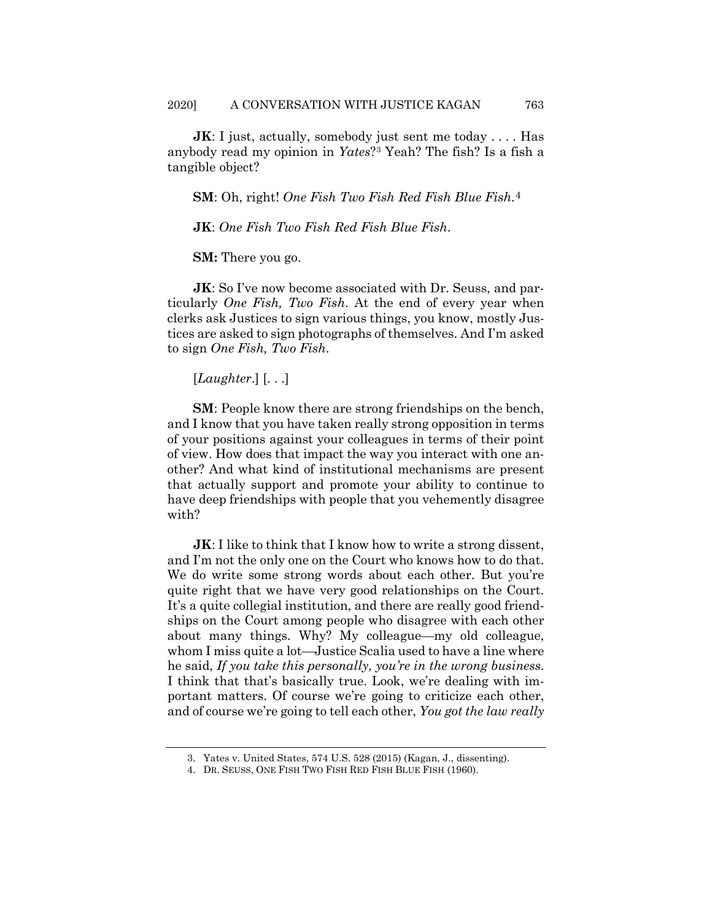**JK**: I just, actually, somebody just sent me today . . . . Has anybody read my opinion in *Yates*?[3](#page-14-0) Yeah? The fish? Is a fish a tangible object?

**SM**: Oh, right! *One Fish Two Fish Red Fish Blue Fish*.[4](#page-14-1)

**JK**: *One Fish Two Fish Red Fish Blue Fish*.

**SM:** There you go.

**JK:** So I've now become associated with Dr. Seuss, and particularly *One Fish, Two Fish*. At the end of every year when clerks ask Justices to sign various things, you know, mostly Justices are asked to sign photographs of themselves. And I'm asked to sign *One Fish, Two Fish*.

[*Laughter*.] [. . .]

**SM**: People know there are strong friendships on the bench, and I know that you have taken really strong opposition in terms of your positions against your colleagues in terms of their point of view. How does that impact the way you interact with one another? And what kind of institutional mechanisms are present that actually support and promote your ability to continue to have deep friendships with people that you vehemently disagree with?

**JK**: I like to think that I know how to write a strong dissent, and I'm not the only one on the Court who knows how to do that. We do write some strong words about each other. But you're quite right that we have very good relationships on the Court. It's a quite collegial institution, and there are really good friendships on the Court among people who disagree with each other about many things. Why? My colleague—my old colleague, whom I miss quite a lot—Justice Scalia used to have a line where he said, *If you take this personally, you're in the wrong business*. I think that that's basically true. Look, we're dealing with important matters. Of course we're going to criticize each other, and of course we're going to tell each other, *You got the law really* 

<span id="page-14-0"></span><sup>3.</sup> Yates v. United States, 574 U.S. 528 (2015) (Kagan, J., dissenting).

<span id="page-14-1"></span><sup>4.</sup> DR. SEUSS, ONE FISH TWO FISH RED FISH BLUE FISH (1960).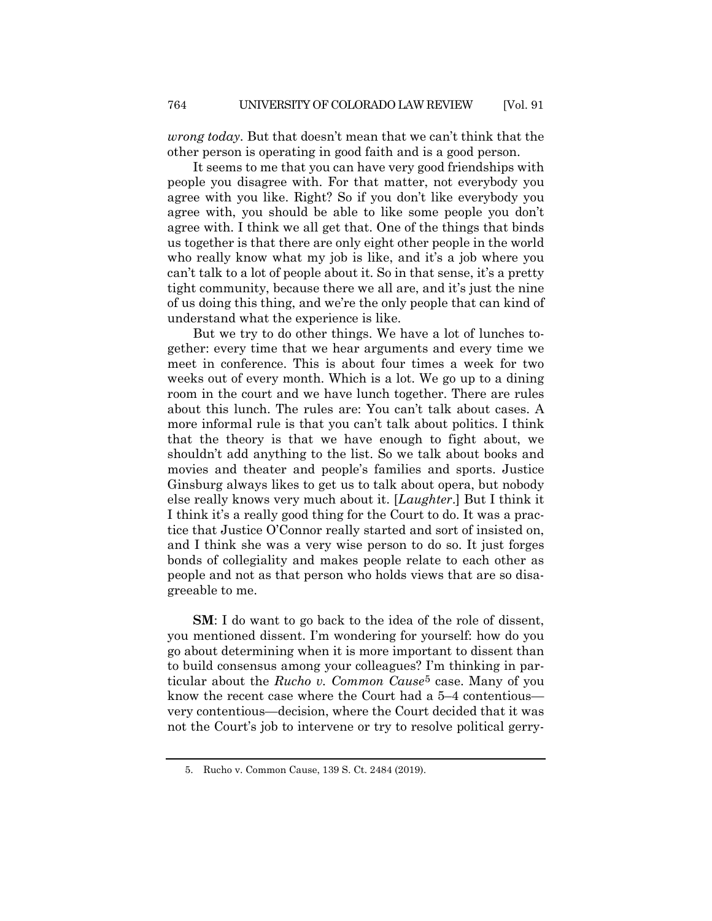*wrong today*. But that doesn't mean that we can't think that the other person is operating in good faith and is a good person.

It seems to me that you can have very good friendships with people you disagree with. For that matter, not everybody you agree with you like. Right? So if you don't like everybody you agree with, you should be able to like some people you don't agree with. I think we all get that. One of the things that binds us together is that there are only eight other people in the world who really know what my job is like, and it's a job where you can't talk to a lot of people about it. So in that sense, it's a pretty tight community, because there we all are, and it's just the nine of us doing this thing, and we're the only people that can kind of understand what the experience is like.

But we try to do other things. We have a lot of lunches together: every time that we hear arguments and every time we meet in conference. This is about four times a week for two weeks out of every month. Which is a lot. We go up to a dining room in the court and we have lunch together. There are rules about this lunch. The rules are: You can't talk about cases. A more informal rule is that you can't talk about politics. I think that the theory is that we have enough to fight about, we shouldn't add anything to the list. So we talk about books and movies and theater and people's families and sports. Justice Ginsburg always likes to get us to talk about opera, but nobody else really knows very much about it. [*Laughter*.] But I think it I think it's a really good thing for the Court to do. It was a practice that Justice O'Connor really started and sort of insisted on, and I think she was a very wise person to do so. It just forges bonds of collegiality and makes people relate to each other as people and not as that person who holds views that are so disagreeable to me.

**SM**: I do want to go back to the idea of the role of dissent, you mentioned dissent. I'm wondering for yourself: how do you go about determining when it is more important to dissent than to build consensus among your colleagues? I'm thinking in particular about the *Rucho v. Common Cause*[5](#page-15-0) case. Many of you know the recent case where the Court had a 5–4 contentious very contentious—decision, where the Court decided that it was not the Court's job to intervene or try to resolve political gerry-

<span id="page-15-0"></span><sup>5.</sup> Rucho v. Common Cause, 139 S. Ct. 2484 (2019).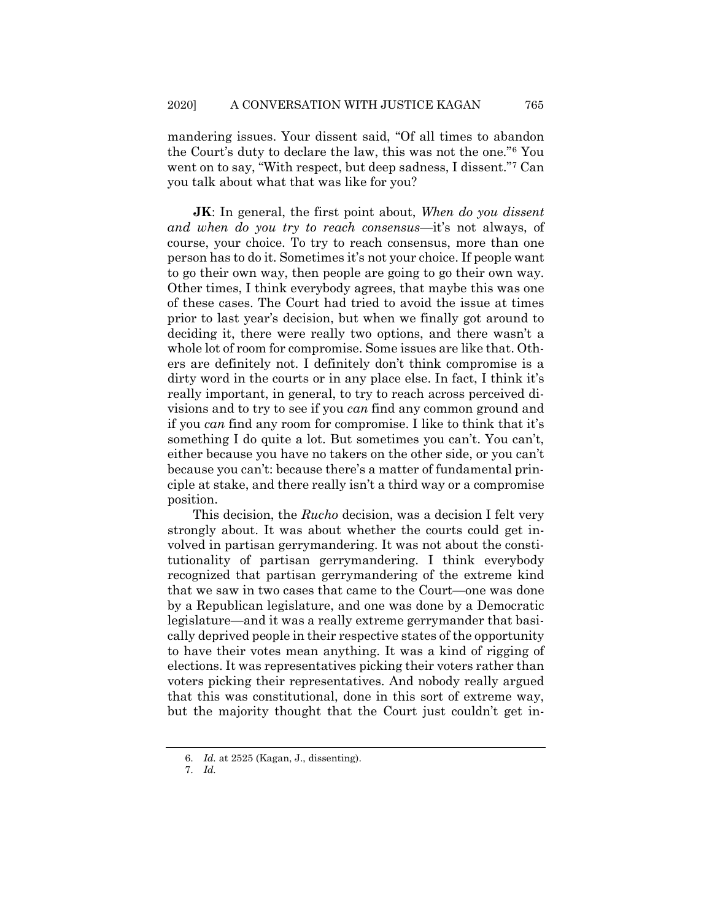mandering issues. Your dissent said, "Of all times to abandon the Court's duty to declare the law, this was not the one."[6](#page-16-0) You went on to say, "With respect, but deep sadness, I dissent."[7](#page-16-1) Can you talk about what that was like for you?

**JK**: In general, the first point about, *When do you dissent and when do you try to reach consensus*—it's not always, of course, your choice. To try to reach consensus, more than one person has to do it. Sometimes it's not your choice. If people want to go their own way, then people are going to go their own way. Other times, I think everybody agrees, that maybe this was one of these cases. The Court had tried to avoid the issue at times prior to last year's decision, but when we finally got around to deciding it, there were really two options, and there wasn't a whole lot of room for compromise. Some issues are like that. Others are definitely not. I definitely don't think compromise is a dirty word in the courts or in any place else. In fact, I think it's really important, in general, to try to reach across perceived divisions and to try to see if you *can* find any common ground and if you *can* find any room for compromise. I like to think that it's something I do quite a lot. But sometimes you can't. You can't, either because you have no takers on the other side, or you can't because you can't: because there's a matter of fundamental principle at stake, and there really isn't a third way or a compromise position.

This decision, the *Rucho* decision, was a decision I felt very strongly about. It was about whether the courts could get involved in partisan gerrymandering. It was not about the constitutionality of partisan gerrymandering. I think everybody recognized that partisan gerrymandering of the extreme kind that we saw in two cases that came to the Court—one was done by a Republican legislature, and one was done by a Democratic legislature—and it was a really extreme gerrymander that basically deprived people in their respective states of the opportunity to have their votes mean anything. It was a kind of rigging of elections. It was representatives picking their voters rather than voters picking their representatives. And nobody really argued that this was constitutional, done in this sort of extreme way, but the majority thought that the Court just couldn't get in-

<sup>6.</sup> *Id.* at 2525 (Kagan, J., dissenting).

<span id="page-16-1"></span><span id="page-16-0"></span><sup>7.</sup> *Id.*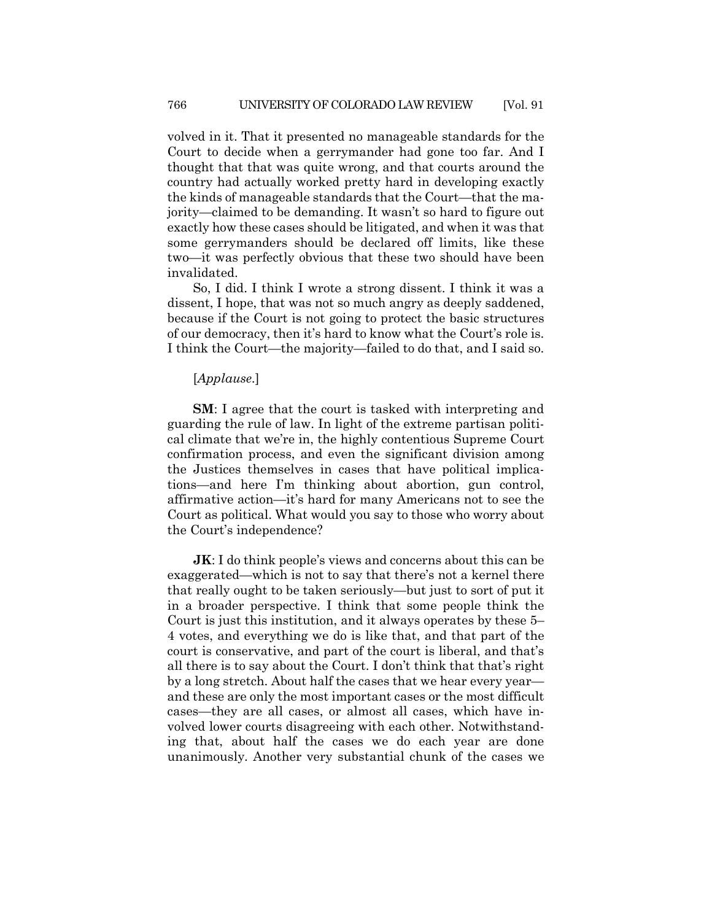volved in it. That it presented no manageable standards for the Court to decide when a gerrymander had gone too far. And I thought that that was quite wrong, and that courts around the country had actually worked pretty hard in developing exactly the kinds of manageable standards that the Court—that the majority—claimed to be demanding. It wasn't so hard to figure out exactly how these cases should be litigated, and when it was that some gerrymanders should be declared off limits, like these two—it was perfectly obvious that these two should have been invalidated.

So, I did. I think I wrote a strong dissent. I think it was a dissent, I hope, that was not so much angry as deeply saddened, because if the Court is not going to protect the basic structures of our democracy, then it's hard to know what the Court's role is. I think the Court—the majority—failed to do that, and I said so.

#### [*Applause*.]

**SM**: I agree that the court is tasked with interpreting and guarding the rule of law. In light of the extreme partisan political climate that we're in, the highly contentious Supreme Court confirmation process, and even the significant division among the Justices themselves in cases that have political implications—and here I'm thinking about abortion, gun control, affirmative action—it's hard for many Americans not to see the Court as political. What would you say to those who worry about the Court's independence?

**JK**: I do think people's views and concerns about this can be exaggerated—which is not to say that there's not a kernel there that really ought to be taken seriously—but just to sort of put it in a broader perspective. I think that some people think the Court is just this institution, and it always operates by these 5– 4 votes, and everything we do is like that, and that part of the court is conservative, and part of the court is liberal, and that's all there is to say about the Court. I don't think that that's right by a long stretch. About half the cases that we hear every year and these are only the most important cases or the most difficult cases—they are all cases, or almost all cases, which have involved lower courts disagreeing with each other. Notwithstanding that, about half the cases we do each year are done unanimously. Another very substantial chunk of the cases we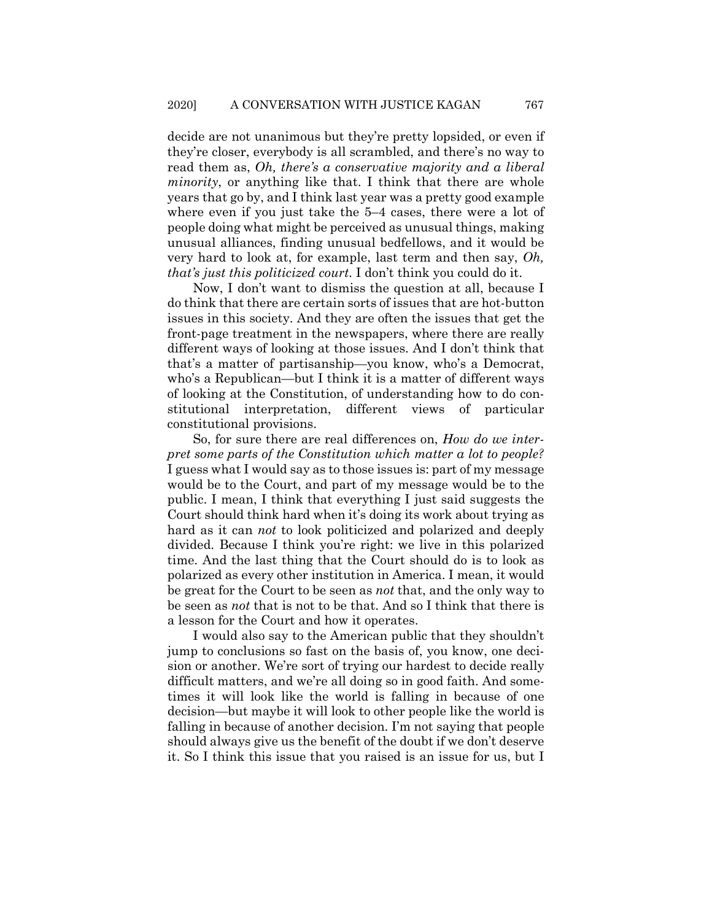decide are not unanimous but they're pretty lopsided, or even if they're closer, everybody is all scrambled, and there's no way to read them as, *Oh, there's a conservative majority and a liberal minority*, or anything like that. I think that there are whole years that go by, and I think last year was a pretty good example where even if you just take the 5–4 cases, there were a lot of people doing what might be perceived as unusual things, making unusual alliances, finding unusual bedfellows, and it would be very hard to look at, for example, last term and then say, *Oh, that's just this politicized court*. I don't think you could do it.

Now, I don't want to dismiss the question at all, because I do think that there are certain sorts of issues that are hot-button issues in this society. And they are often the issues that get the front-page treatment in the newspapers, where there are really different ways of looking at those issues. And I don't think that that's a matter of partisanship—you know, who's a Democrat, who's a Republican—but I think it is a matter of different ways of looking at the Constitution, of understanding how to do constitutional interpretation, different views of particular constitutional provisions.

So, for sure there are real differences on, *How do we interpret some parts of the Constitution which matter a lot to people?* I guess what I would say as to those issues is: part of my message would be to the Court, and part of my message would be to the public. I mean, I think that everything I just said suggests the Court should think hard when it's doing its work about trying as hard as it can *not* to look politicized and polarized and deeply divided. Because I think you're right: we live in this polarized time. And the last thing that the Court should do is to look as polarized as every other institution in America. I mean, it would be great for the Court to be seen as *not* that, and the only way to be seen as *not* that is not to be that. And so I think that there is a lesson for the Court and how it operates.

I would also say to the American public that they shouldn't jump to conclusions so fast on the basis of, you know, one decision or another. We're sort of trying our hardest to decide really difficult matters, and we're all doing so in good faith. And sometimes it will look like the world is falling in because of one decision—but maybe it will look to other people like the world is falling in because of another decision. I'm not saying that people should always give us the benefit of the doubt if we don't deserve it. So I think this issue that you raised is an issue for us, but I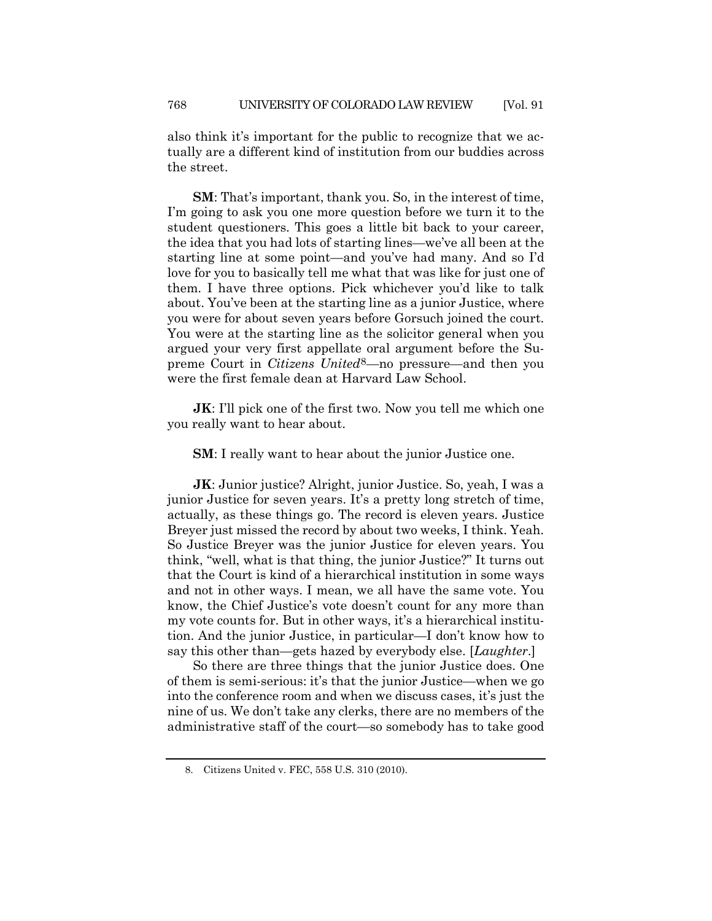also think it's important for the public to recognize that we actually are a different kind of institution from our buddies across the street.

**SM**: That's important, thank you. So, in the interest of time, I'm going to ask you one more question before we turn it to the student questioners. This goes a little bit back to your career, the idea that you had lots of starting lines—we've all been at the starting line at some point—and you've had many. And so I'd love for you to basically tell me what that was like for just one of them. I have three options. Pick whichever you'd like to talk about. You've been at the starting line as a junior Justice, where you were for about seven years before Gorsuch joined the court. You were at the starting line as the solicitor general when you argued your very first appellate oral argument before the Supreme Court in *Citizens United*[8](#page-19-0)*—*no pressure—and then you were the first female dean at Harvard Law School.

**JK:** I'll pick one of the first two. Now you tell me which one you really want to hear about.

**SM**: I really want to hear about the junior Justice one.

**JK**: Junior justice? Alright, junior Justice. So, yeah, I was a junior Justice for seven years. It's a pretty long stretch of time, actually, as these things go. The record is eleven years. Justice Breyer just missed the record by about two weeks, I think. Yeah. So Justice Breyer was the junior Justice for eleven years. You think, "well, what is that thing, the junior Justice?" It turns out that the Court is kind of a hierarchical institution in some ways and not in other ways. I mean, we all have the same vote. You know, the Chief Justice's vote doesn't count for any more than my vote counts for. But in other ways, it's a hierarchical institution. And the junior Justice, in particular—I don't know how to say this other than—gets hazed by everybody else. [*Laughter*.]

So there are three things that the junior Justice does. One of them is semi-serious: it's that the junior Justice—when we go into the conference room and when we discuss cases, it's just the nine of us. We don't take any clerks, there are no members of the administrative staff of the court—so somebody has to take good

<span id="page-19-0"></span><sup>8.</sup> Citizens United v. FEC, 558 U.S. 310 (2010).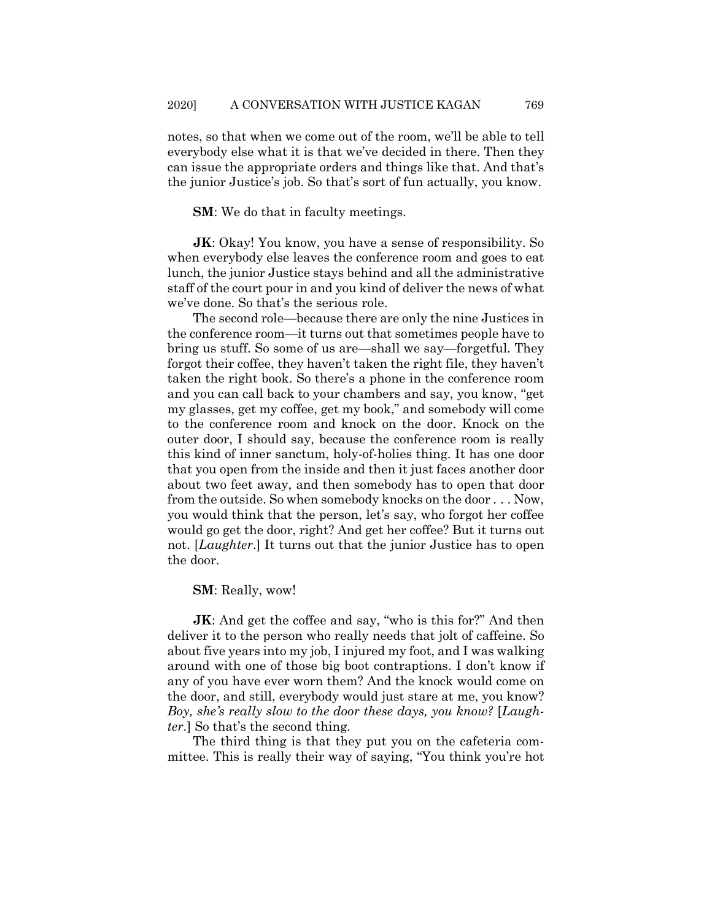notes, so that when we come out of the room, we'll be able to tell everybody else what it is that we've decided in there. Then they can issue the appropriate orders and things like that. And that's the junior Justice's job. So that's sort of fun actually, you know.

**SM**: We do that in faculty meetings.

**JK:** Okay! You know, you have a sense of responsibility. So when everybody else leaves the conference room and goes to eat lunch, the junior Justice stays behind and all the administrative staff of the court pour in and you kind of deliver the news of what we've done. So that's the serious role.

The second role—because there are only the nine Justices in the conference room—it turns out that sometimes people have to bring us stuff. So some of us are—shall we say—forgetful. They forgot their coffee, they haven't taken the right file, they haven't taken the right book. So there's a phone in the conference room and you can call back to your chambers and say, you know, "get my glasses, get my coffee, get my book," and somebody will come to the conference room and knock on the door. Knock on the outer door, I should say, because the conference room is really this kind of inner sanctum, holy-of-holies thing. It has one door that you open from the inside and then it just faces another door about two feet away, and then somebody has to open that door from the outside. So when somebody knocks on the door . . . Now, you would think that the person, let's say, who forgot her coffee would go get the door, right? And get her coffee? But it turns out not. [*Laughter*.] It turns out that the junior Justice has to open the door.

#### **SM**: Really, wow!

**JK:** And get the coffee and say, "who is this for?" And then deliver it to the person who really needs that jolt of caffeine. So about five years into my job, I injured my foot, and I was walking around with one of those big boot contraptions. I don't know if any of you have ever worn them? And the knock would come on the door, and still, everybody would just stare at me, you know? *Boy, she's really slow to the door these days, you know?* [*Laughter*.] So that's the second thing.

The third thing is that they put you on the cafeteria committee. This is really their way of saying, "You think you're hot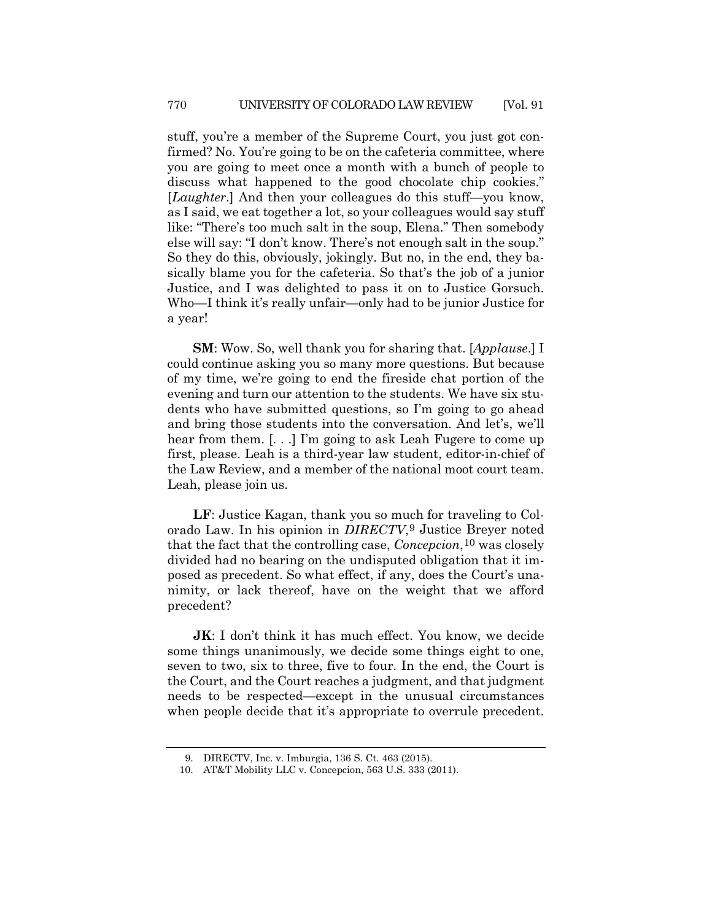stuff, you're a member of the Supreme Court, you just got confirmed? No. You're going to be on the cafeteria committee, where you are going to meet once a month with a bunch of people to discuss what happened to the good chocolate chip cookies." [*Laughter*.] And then your colleagues do this stuff—you know, as I said, we eat together a lot, so your colleagues would say stuff like: "There's too much salt in the soup, Elena." Then somebody else will say: "I don't know. There's not enough salt in the soup." So they do this, obviously, jokingly. But no, in the end, they basically blame you for the cafeteria. So that's the job of a junior Justice, and I was delighted to pass it on to Justice Gorsuch. Who—I think it's really unfair—only had to be junior Justice for a year!

**SM**: Wow. So, well thank you for sharing that. [*Applause*.] I could continue asking you so many more questions. But because of my time, we're going to end the fireside chat portion of the evening and turn our attention to the students. We have six students who have submitted questions, so I'm going to go ahead and bring those students into the conversation. And let's, we'll hear from them. [...] I'm going to ask Leah Fugere to come up first, please. Leah is a third-year law student, editor-in-chief of the Law Review, and a member of the national moot court team. Leah, please join us.

**LF**: Justice Kagan, thank you so much for traveling to Colorado Law. In his opinion in *DIRECTV*,[9](#page-21-0) Justice Breyer noted that the fact that the controlling case, *Concepcion*,[10](#page-21-1) was closely divided had no bearing on the undisputed obligation that it imposed as precedent. So what effect, if any, does the Court's unanimity, or lack thereof, have on the weight that we afford precedent?

**JK:** I don't think it has much effect. You know, we decide some things unanimously, we decide some things eight to one, seven to two, six to three, five to four. In the end, the Court is the Court, and the Court reaches a judgment, and that judgment needs to be respected—except in the unusual circumstances when people decide that it's appropriate to overrule precedent.

<sup>9.</sup> DIRECTV, Inc. v. Imburgia, 136 S. Ct. 463 (2015).

<span id="page-21-1"></span><span id="page-21-0"></span><sup>10.</sup> AT&T Mobility LLC v. Concepcion, 563 U.S. 333 (2011).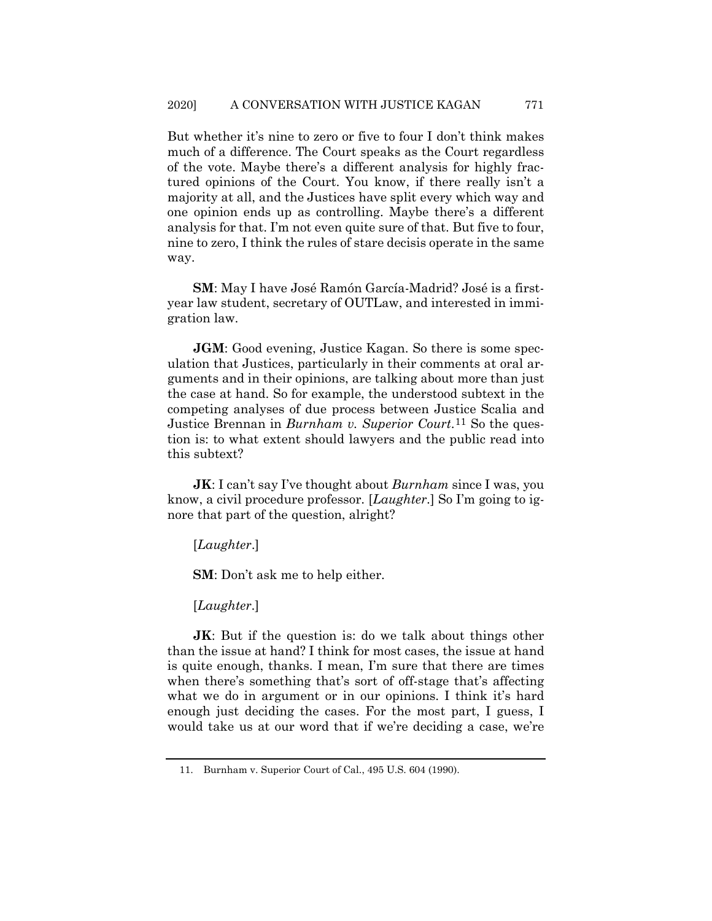But whether it's nine to zero or five to four I don't think makes much of a difference. The Court speaks as the Court regardless of the vote. Maybe there's a different analysis for highly fractured opinions of the Court. You know, if there really isn't a majority at all, and the Justices have split every which way and one opinion ends up as controlling. Maybe there's a different analysis for that. I'm not even quite sure of that. But five to four, nine to zero, I think the rules of stare decisis operate in the same way.

**SM**: May I have José Ramón García-Madrid? José is a firstyear law student, secretary of OUTLaw, and interested in immigration law.

**JGM**: Good evening, Justice Kagan. So there is some speculation that Justices, particularly in their comments at oral arguments and in their opinions, are talking about more than just the case at hand. So for example, the understood subtext in the competing analyses of due process between Justice Scalia and Justice Brennan in *Burnham v. Superior Court*.[11](#page-22-0) So the question is: to what extent should lawyers and the public read into this subtext?

**JK**: I can't say I've thought about *Burnham* since I was, you know, a civil procedure professor. [*Laughter*.] So I'm going to ignore that part of the question, alright?

[*Laughter*.]

**SM**: Don't ask me to help either.

[*Laughter*.]

**JK**: But if the question is: do we talk about things other than the issue at hand? I think for most cases, the issue at hand is quite enough, thanks. I mean, I'm sure that there are times when there's something that's sort of off-stage that's affecting what we do in argument or in our opinions. I think it's hard enough just deciding the cases. For the most part, I guess, I would take us at our word that if we're deciding a case, we're

<span id="page-22-0"></span><sup>11.</sup> Burnham v. Superior Court of Cal., 495 U.S. 604 (1990).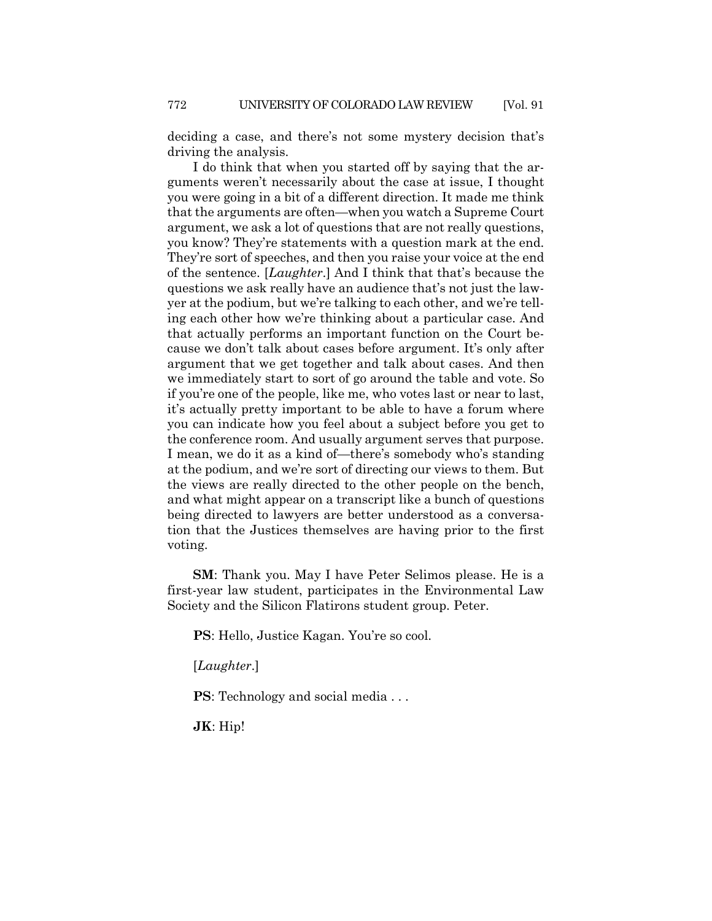deciding a case, and there's not some mystery decision that's driving the analysis.

I do think that when you started off by saying that the arguments weren't necessarily about the case at issue, I thought you were going in a bit of a different direction. It made me think that the arguments are often—when you watch a Supreme Court argument, we ask a lot of questions that are not really questions, you know? They're statements with a question mark at the end. They're sort of speeches, and then you raise your voice at the end of the sentence. [*Laughter*.] And I think that that's because the questions we ask really have an audience that's not just the lawyer at the podium, but we're talking to each other, and we're telling each other how we're thinking about a particular case. And that actually performs an important function on the Court because we don't talk about cases before argument. It's only after argument that we get together and talk about cases. And then we immediately start to sort of go around the table and vote. So if you're one of the people, like me, who votes last or near to last, it's actually pretty important to be able to have a forum where you can indicate how you feel about a subject before you get to the conference room. And usually argument serves that purpose. I mean, we do it as a kind of—there's somebody who's standing at the podium, and we're sort of directing our views to them. But the views are really directed to the other people on the bench, and what might appear on a transcript like a bunch of questions being directed to lawyers are better understood as a conversation that the Justices themselves are having prior to the first voting.

**SM**: Thank you. May I have Peter Selimos please. He is a first-year law student, participates in the Environmental Law Society and the Silicon Flatirons student group. Peter.

**PS**: Hello, Justice Kagan. You're so cool.

[*Laughter*.]

**PS**: Technology and social media . . .

**JK**: Hip!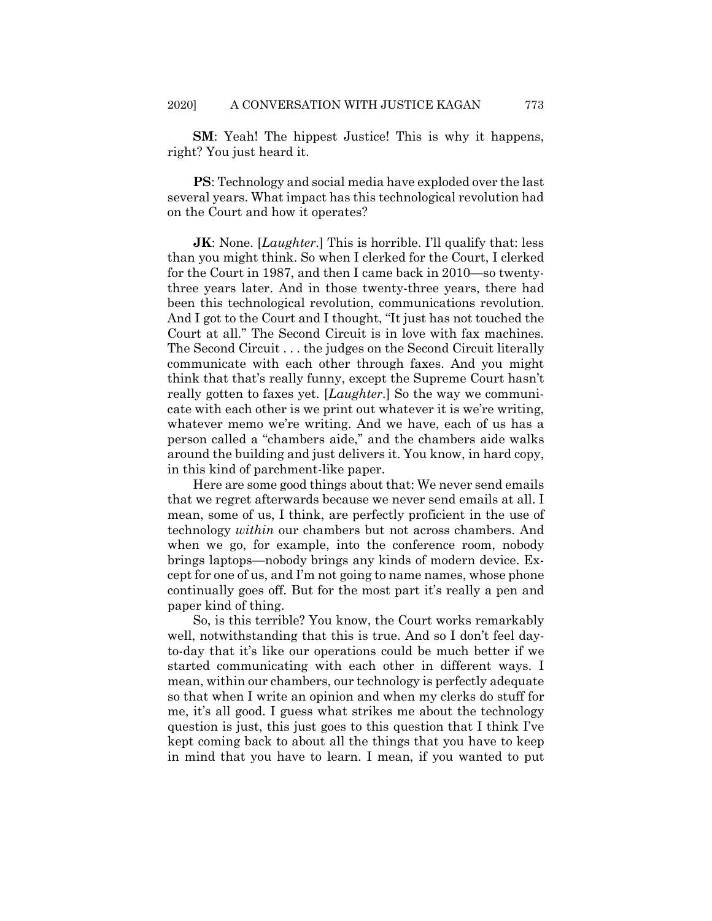**SM**: Yeah! The hippest Justice! This is why it happens, right? You just heard it.

**PS**: Technology and social media have exploded over the last several years. What impact has this technological revolution had on the Court and how it operates?

**JK**: None. [*Laughter*.] This is horrible. I'll qualify that: less than you might think. So when I clerked for the Court, I clerked for the Court in 1987, and then I came back in 2010—so twentythree years later. And in those twenty-three years, there had been this technological revolution, communications revolution. And I got to the Court and I thought, "It just has not touched the Court at all." The Second Circuit is in love with fax machines. The Second Circuit . . . the judges on the Second Circuit literally communicate with each other through faxes. And you might think that that's really funny, except the Supreme Court hasn't really gotten to faxes yet. [*Laughter*.] So the way we communicate with each other is we print out whatever it is we're writing, whatever memo we're writing. And we have, each of us has a person called a "chambers aide," and the chambers aide walks around the building and just delivers it. You know, in hard copy, in this kind of parchment-like paper.

Here are some good things about that: We never send emails that we regret afterwards because we never send emails at all. I mean, some of us, I think, are perfectly proficient in the use of technology *within* our chambers but not across chambers. And when we go, for example, into the conference room, nobody brings laptops—nobody brings any kinds of modern device. Except for one of us, and I'm not going to name names, whose phone continually goes off. But for the most part it's really a pen and paper kind of thing.

So, is this terrible? You know, the Court works remarkably well, notwithstanding that this is true. And so I don't feel dayto-day that it's like our operations could be much better if we started communicating with each other in different ways. I mean, within our chambers, our technology is perfectly adequate so that when I write an opinion and when my clerks do stuff for me, it's all good. I guess what strikes me about the technology question is just, this just goes to this question that I think I've kept coming back to about all the things that you have to keep in mind that you have to learn. I mean, if you wanted to put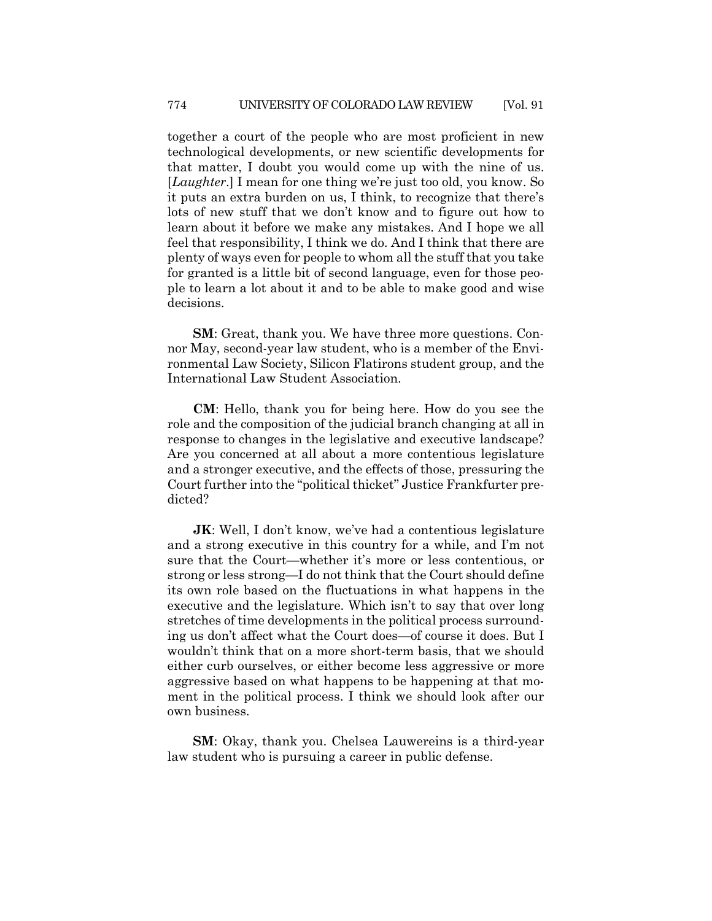together a court of the people who are most proficient in new technological developments, or new scientific developments for that matter, I doubt you would come up with the nine of us. [*Laughter*.] I mean for one thing we're just too old, you know. So it puts an extra burden on us, I think, to recognize that there's lots of new stuff that we don't know and to figure out how to learn about it before we make any mistakes. And I hope we all feel that responsibility, I think we do. And I think that there are plenty of ways even for people to whom all the stuff that you take for granted is a little bit of second language, even for those people to learn a lot about it and to be able to make good and wise decisions.

**SM**: Great, thank you. We have three more questions. Connor May, second-year law student, who is a member of the Environmental Law Society, Silicon Flatirons student group, and the International Law Student Association.

**CM**: Hello, thank you for being here. How do you see the role and the composition of the judicial branch changing at all in response to changes in the legislative and executive landscape? Are you concerned at all about a more contentious legislature and a stronger executive, and the effects of those, pressuring the Court further into the "political thicket" Justice Frankfurter predicted?

**JK:** Well, I don't know, we've had a contentious legislature and a strong executive in this country for a while, and I'm not sure that the Court—whether it's more or less contentious, or strong or less strong—I do not think that the Court should define its own role based on the fluctuations in what happens in the executive and the legislature. Which isn't to say that over long stretches of time developments in the political process surrounding us don't affect what the Court does—of course it does. But I wouldn't think that on a more short-term basis, that we should either curb ourselves, or either become less aggressive or more aggressive based on what happens to be happening at that moment in the political process. I think we should look after our own business.

**SM**: Okay, thank you. Chelsea Lauwereins is a third-year law student who is pursuing a career in public defense.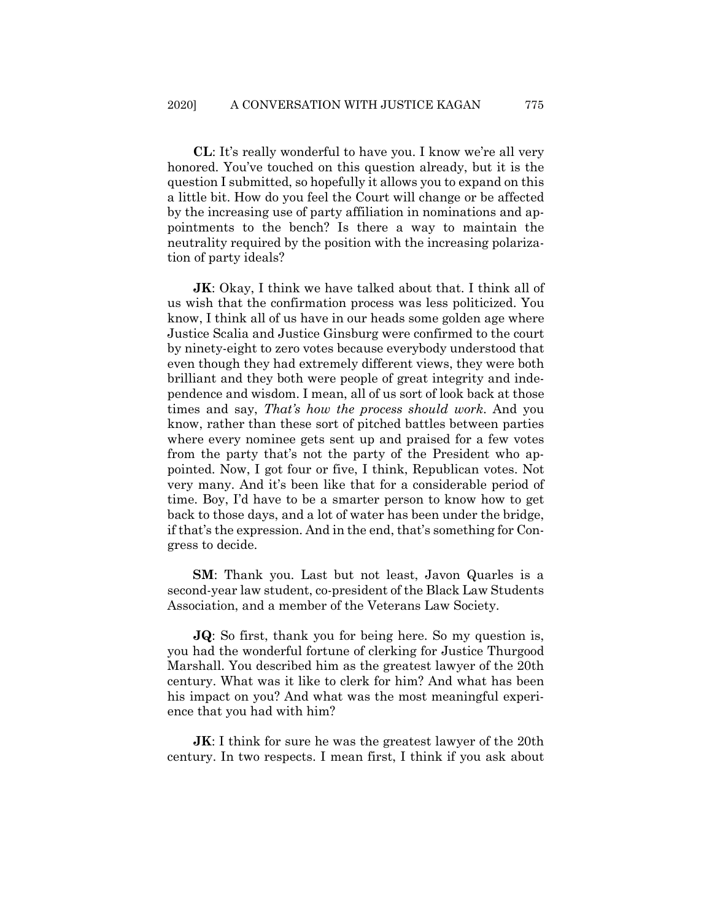**CL**: It's really wonderful to have you. I know we're all very honored. You've touched on this question already, but it is the question I submitted, so hopefully it allows you to expand on this a little bit. How do you feel the Court will change or be affected by the increasing use of party affiliation in nominations and appointments to the bench? Is there a way to maintain the neutrality required by the position with the increasing polarization of party ideals?

**JK:** Okay, I think we have talked about that. I think all of us wish that the confirmation process was less politicized. You know, I think all of us have in our heads some golden age where Justice Scalia and Justice Ginsburg were confirmed to the court by ninety-eight to zero votes because everybody understood that even though they had extremely different views, they were both brilliant and they both were people of great integrity and independence and wisdom. I mean, all of us sort of look back at those times and say, *That's how the process should work*. And you know, rather than these sort of pitched battles between parties where every nominee gets sent up and praised for a few votes from the party that's not the party of the President who appointed. Now, I got four or five, I think, Republican votes. Not very many. And it's been like that for a considerable period of time. Boy, I'd have to be a smarter person to know how to get back to those days, and a lot of water has been under the bridge, if that's the expression. And in the end, that's something for Congress to decide.

**SM**: Thank you. Last but not least, Javon Quarles is a second-year law student, co-president of the Black Law Students Association, and a member of the Veterans Law Society.

**JQ**: So first, thank you for being here. So my question is, you had the wonderful fortune of clerking for Justice Thurgood Marshall. You described him as the greatest lawyer of the 20th century. What was it like to clerk for him? And what has been his impact on you? And what was the most meaningful experience that you had with him?

**JK:** I think for sure he was the greatest lawyer of the 20th century. In two respects. I mean first, I think if you ask about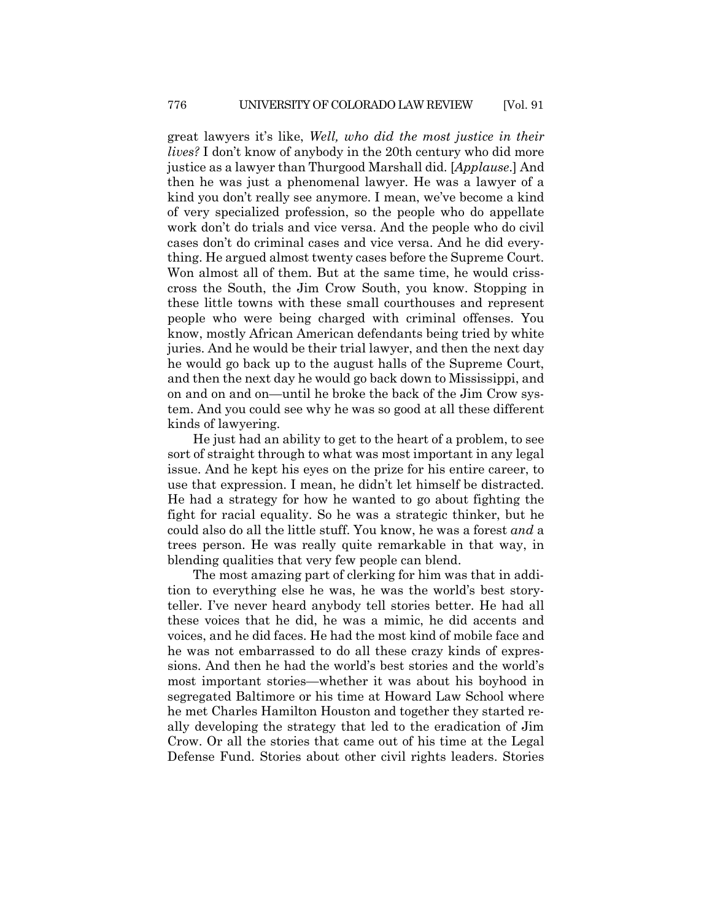great lawyers it's like, *Well, who did the most justice in their lives?* I don't know of anybody in the 20th century who did more justice as a lawyer than Thurgood Marshall did. [*Applause*.] And then he was just a phenomenal lawyer. He was a lawyer of a kind you don't really see anymore. I mean, we've become a kind of very specialized profession, so the people who do appellate work don't do trials and vice versa. And the people who do civil cases don't do criminal cases and vice versa. And he did everything. He argued almost twenty cases before the Supreme Court. Won almost all of them. But at the same time, he would crisscross the South, the Jim Crow South, you know. Stopping in these little towns with these small courthouses and represent people who were being charged with criminal offenses. You know, mostly African American defendants being tried by white juries. And he would be their trial lawyer, and then the next day he would go back up to the august halls of the Supreme Court, and then the next day he would go back down to Mississippi, and on and on and on—until he broke the back of the Jim Crow system. And you could see why he was so good at all these different kinds of lawyering.

He just had an ability to get to the heart of a problem, to see sort of straight through to what was most important in any legal issue. And he kept his eyes on the prize for his entire career, to use that expression. I mean, he didn't let himself be distracted. He had a strategy for how he wanted to go about fighting the fight for racial equality. So he was a strategic thinker, but he could also do all the little stuff. You know, he was a forest *and* a trees person. He was really quite remarkable in that way, in blending qualities that very few people can blend.

The most amazing part of clerking for him was that in addition to everything else he was, he was the world's best storyteller. I've never heard anybody tell stories better. He had all these voices that he did, he was a mimic, he did accents and voices, and he did faces. He had the most kind of mobile face and he was not embarrassed to do all these crazy kinds of expressions. And then he had the world's best stories and the world's most important stories—whether it was about his boyhood in segregated Baltimore or his time at Howard Law School where he met Charles Hamilton Houston and together they started really developing the strategy that led to the eradication of Jim Crow. Or all the stories that came out of his time at the Legal Defense Fund. Stories about other civil rights leaders. Stories